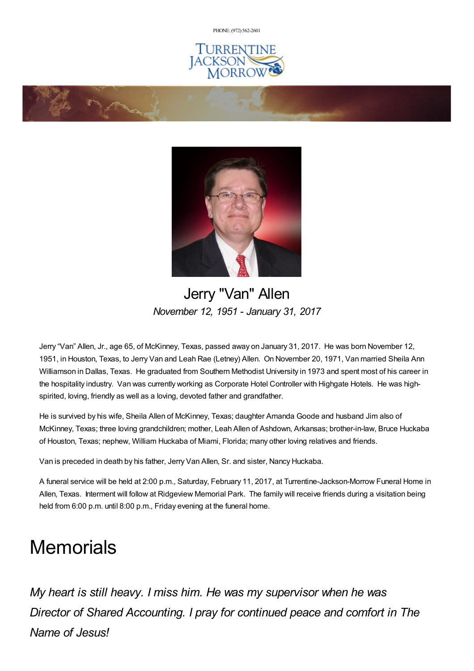PHONE: (972) [562-2601](tel:(972) 562-2601)







## Jerry "Van" Allen *November 12, 1951 - January 31, 2017*

Jerry "Van" Allen, Jr., age 65, of McKinney, Texas, passed away on January 31, 2017. He was born November 12, 1951, in Houston, Texas, to Jerry Van and Leah Rae (Letney) Allen. On November 20, 1971, Van married Sheila Ann Williamson in Dallas, Texas. He graduated from Southern Methodist University in 1973 and spent most of his career in the hospitality industry. Van was currently working as Corporate Hotel Controller with Highgate Hotels. He was highspirited, loving, friendly as well as a loving, devoted father and grandfather.

He is survived by his wife, Sheila Allen of McKinney, Texas; daughter Amanda Goode and husband Jim also of McKinney, Texas; three loving grandchildren; mother, Leah Allen of Ashdown, Arkansas; brother-in-law, Bruce Huckaba of Houston, Texas; nephew, William Huckaba of Miami, Florida; many other loving relatives and friends.

Van is preceded in death by his father, Jerry Van Allen, Sr. and sister, Nancy Huckaba.

A funeral service will be held at 2:00 p.m., Saturday, February 11, 2017, at Turrentine-Jackson-Morrow Funeral Home in Allen, Texas. Interment will follow at Ridgeview Memorial Park. The family will receive friends during a visitation being held from 6:00 p.m. until 8:00 p.m., Friday evening at the funeral home.

# **Memorials**

*My heart is still heavy. I miss him. He was my supervisor when he was Director of Shared Accounting. I pray for continued peace and comfort in The Name of Jesus!*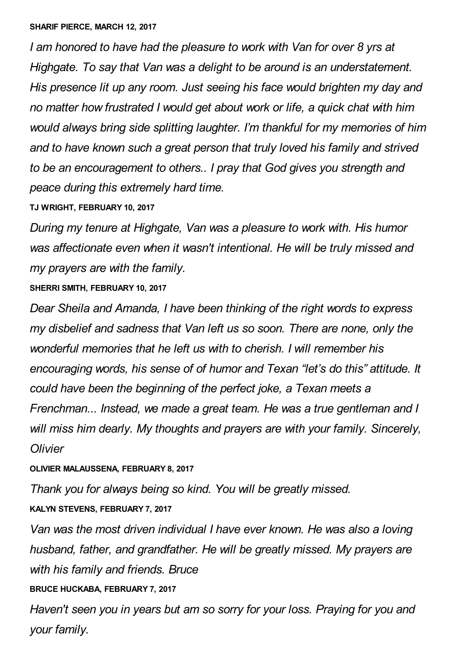*I am honored to have had the pleasure to work with Van for over 8 yrs at Highgate. To say that Van was a delight to be around is an understatement. His presence lit up any room. Just seeing his face would brighten my day and no matter how frustrated I would get about work or life, a quick chat with him would always bring side splitting laughter. I'm thankful for my memories of him and to have known such a great person that truly loved his family and strived to be an encouragement to others.. I pray that God gives you strength and peace during this extremely hard time.*

#### **TJ WRIGHT, FEBRUARY 10, 2017**

*During my tenure at Highgate, Van was a pleasure to work with. His humor was affectionate even when it wasn't intentional. He will be truly missed and my prayers are with the family.*

#### **SHERRI SMITH, FEBRUARY 10, 2017**

*Dear Sheila and Amanda, I have been thinking of the right words to express my disbelief and sadness that Van left us so soon. There are none, only the wonderful memories that he left us with to cherish. I will remember his encouraging words, his sense of of humor and Texan "let's do this" attitude. It could have been the beginning of the perfect joke, a Texan meets a Frenchman... Instead, we made a great team. He was a true gentleman and I will miss him dearly. My thoughts and prayers are with your family. Sincerely, Olivier*

#### **OLIVIER MALAUSSENA, FEBRUARY 8, 2017**

*Thank you for always being so kind. You will be greatly missed.*

### **KALYN STEVENS, FEBRUARY 7, 2017**

*Van was the most driven individual I have ever known. He was also a loving husband, father, and grandfather. He will be greatly missed. My prayers are with his family and friends. Bruce*

### **BRUCE HUCKABA, FEBRUARY 7, 2017**

*Haven't seen you in years but am so sorry for your loss. Praying for you and your family.*